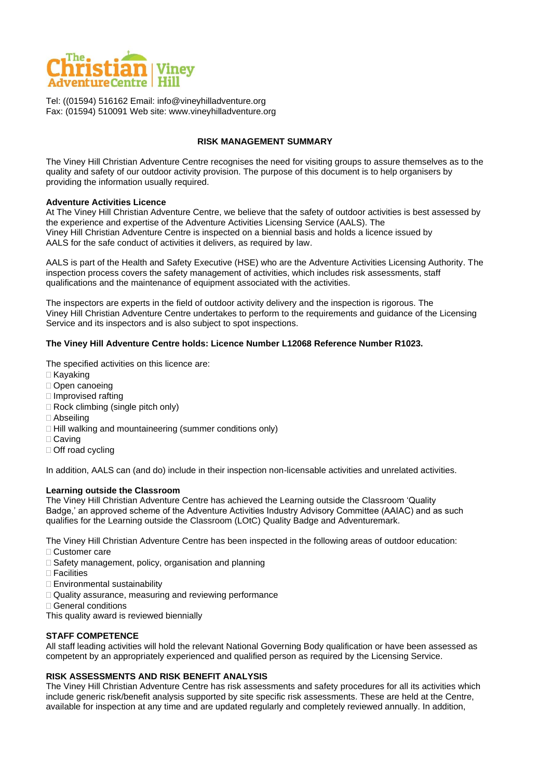

Tel: ((01594) 516162 Email: info@vineyhilladventure.org Fax: (01594) 510091 Web site: www.vineyhilladventure.org

#### **RISK MANAGEMENT SUMMARY**

The Viney Hill Christian Adventure Centre recognises the need for visiting groups to assure themselves as to the quality and safety of our outdoor activity provision. The purpose of this document is to help organisers by providing the information usually required.

#### **Adventure Activities Licence**

At The Viney Hill Christian Adventure Centre, we believe that the safety of outdoor activities is best assessed by the experience and expertise of the Adventure Activities Licensing Service (AALS). The Viney Hill Christian Adventure Centre is inspected on a biennial basis and holds a licence issued by AALS for the safe conduct of activities it delivers, as required by law.

AALS is part of the Health and Safety Executive (HSE) who are the Adventure Activities Licensing Authority. The inspection process covers the safety management of activities, which includes risk assessments, staff qualifications and the maintenance of equipment associated with the activities.

The inspectors are experts in the field of outdoor activity delivery and the inspection is rigorous. The Viney Hill Christian Adventure Centre undertakes to perform to the requirements and guidance of the Licensing Service and its inspectors and is also subject to spot inspections.

#### **The Viney Hill Adventure Centre holds: Licence Number L12068 Reference Number R1023.**

The specified activities on this licence are:

- □ Kayaking
- □ Open canoeing
- $\Box$  Improvised rafting
- □ Rock climbing (single pitch only)
- Abseiling
- $\Box$  Hill walking and mountaineering (summer conditions only)
- □ Caving
- □ Off road cycling

In addition, AALS can (and do) include in their inspection non-licensable activities and unrelated activities.

## **Learning outside the Classroom**

The Viney Hill Christian Adventure Centre has achieved the Learning outside the Classroom 'Quality Badge,' an approved scheme of the Adventure Activities Industry Advisory Committee (AAIAC) and as such qualifies for the Learning outside the Classroom (LOtC) Quality Badge and Adventuremark.

The Viney Hill Christian Adventure Centre has been inspected in the following areas of outdoor education:

- □ Customer care
- □ Safety management, policy, organisation and planning
- $\Box$  Facilities
- Environmental sustainability
- □ Quality assurance, measuring and reviewing performance
- General conditions

This quality award is reviewed biennially

## **STAFF COMPETENCE**

All staff leading activities will hold the relevant National Governing Body qualification or have been assessed as competent by an appropriately experienced and qualified person as required by the Licensing Service.

## **RISK ASSESSMENTS AND RISK BENEFIT ANALYSIS**

The Viney Hill Christian Adventure Centre has risk assessments and safety procedures for all its activities which include generic risk/benefit analysis supported by site specific risk assessments. These are held at the Centre, available for inspection at any time and are updated regularly and completely reviewed annually. In addition,